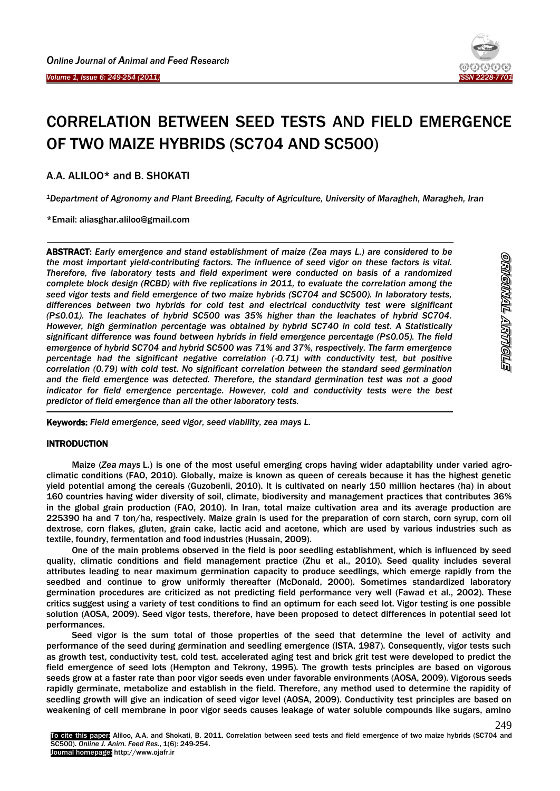

# CORRELATION BETWEEN SEED TESTS AND FIELD EMERGENCE OF TWO MAIZE HYBRIDS (SC704 AND SC500)

A.A. ALILOO\* and B. SHOKATI

Ī

 $\overline{\phantom{a}}$ 

*<sup>1</sup>Department of Agronomy and Plant Breeding, Faculty of Agriculture, University of Maragheh, Maragheh, Iran*

\*Email: aliasghar.aliloo@gmail.com

ABSTRACT: *Early emergence and stand establishment of maize (Zea mays L.) are considered to be the most important yield-contributing factors. The influence of seed vigor on these factors is vital. Therefore, five laboratory tests and field experiment were conducted on basis of a randomized complete block design (RCBD) with five replications in 2011, to evaluate the correlation among the seed vigor tests and field emergence of two maize hybrids (SC704 and SC500). In laboratory tests, differences between two hybrids for cold test and electrical conductivity test were significant (P≤0.01). The leachates of hybrid SC500 was 35% higher than the leachates of hybrid SC704. However, high germination percentage was obtained by hybrid SC740 in cold test. A Statistically significant difference was found between hybrids in field emergence percentage (P≤0.05). The field emergence of hybrid SC704 and hybrid SC500 was 71% and 37%, respectively. The farm emergence percentage had the significant negative correlation (-0.71) with conductivity test, but positive correlation (0.79) with cold test. No significant correlation between the standard seed germination and the field emergence was detected. Therefore, the standard germination test was not a good indicator for field emergence percentage. However, cold and conductivity tests were the best predictor of field emergence than all the other laboratory tests.* -

Keywords: *Field emergence, seed vigor, seed viability, zea mays L.*

## **INTRODUCTION**

Maize (*Zea mays* L.) is one of the most useful emerging crops having wider adaptability under varied agroclimatic conditions (FAO, 2010). Globally, maize is known as queen of cereals because it has the highest genetic yield potential among the cereals (Guzobenli, 2010). It is cultivated on nearly 150 million hectares (ha) in about 160 countries having wider diversity of soil, climate, biodiversity and management practices that contributes 36% in the global grain production (FAO, 2010). In Iran, total maize cultivation area and its average production are 225390 ha and 7 ton/ha, respectively. Maize grain is used for the preparation of corn starch, corn syrup, corn oil dextrose, corn flakes, gluten, grain cake, lactic acid and acetone, which are used by various industries such as textile, foundry, fermentation and food industries (Hussain, 2009).

One of the main problems observed in the field is poor seedling establishment, which is influenced by seed quality, climatic conditions and field management practice (Zhu et al., 2010). Seed quality includes several attributes leading to near maximum germination capacity to produce seedlings, which emerge rapidly from the seedbed and continue to grow uniformly thereafter (McDonald, 2000). Sometimes standardized laboratory germination procedures are criticized as not predicting field performance very well (Fawad et al., 2002). These critics suggest using a variety of test conditions to find an optimum for each seed lot. Vigor testing is one possible solution (AOSA, 2009). Seed vigor tests, therefore, have been proposed to detect differences in potential seed lot performances.

Seed vigor is the sum total of those properties of the seed that determine the level of activity and performance of the seed during germination and seedling emergence (ISTA, 1987). Consequently, vigor tests such as growth test, conductivity test, cold test, accelerated aging test and brick grit test were developed to predict the field emergence of seed lots (Hempton and Tekrony, 1995). The growth tests principles are based on vigorous seeds grow at a faster rate than poor vigor seeds even under favorable environments (AOSA, 2009). Vigorous seeds rapidly germinate, metabolize and establish in the field. Therefore, any method used to determine the rapidity of seedling growth will give an indication of seed vigor level (AOSA, 2009). Conductivity test principles are based on weakening of cell membrane in poor vigor seeds causes leakage of water soluble compounds like sugars, amino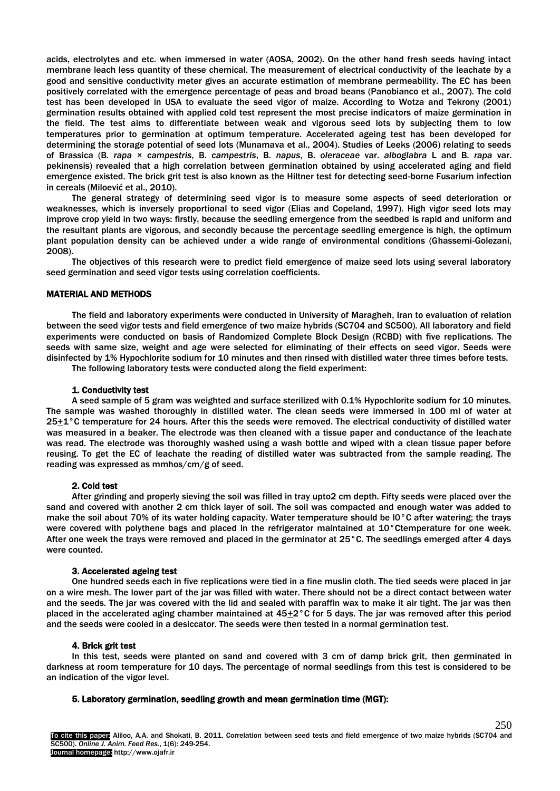acids, electrolytes and etc. when immersed in water (AOSA, 2002). On the other hand fresh seeds having intact membrane leach less quantity of these chemical. The measurement of electrical conductivity of the leachate by a good and sensitive conductivity meter gives an accurate estimation of membrane permeability. The EC has been positively correlated with the emergence percentage of peas and broad beans (Panobianco et al., 2007). The cold test has been developed in USA to evaluate the seed vigor of maize. According to Wotza and Tekrony (2001) germination results obtained with applied cold test represent the most precise indicators of maize germination in the field. The test aims to differentiate between weak and vigorous seed lots by subjecting them to low temperatures prior to germination at optimum temperature. Accelerated ageing test has been developed for determining the storage potential of seed lots (Munamava et al., 2004). Studies of Leeks (2006) relating to seeds of Brassica (B. *rapa × campestris*, B. *campestris*, B. *napus*, B. *oleraceae* var. *alboglabra* L and B. *rapa* var. pekinensis) revealed that a high correlation between germination obtained by using accelerated aging and field emergence existed. The brick grit test is also known as the Hiltner test for detecting seed-borne Fusarium infection in cereals (Miloević et al., 2010).

The general strategy of determining seed vigor is to measure some aspects of seed deterioration or weaknesses, which is inversely proportional to seed vigor (Elias and Copeland, 1997). High vigor seed lots may improve crop yield in two ways: firstly, because the seedling emergence from the seedbed is rapid and uniform and the resultant plants are vigorous, and secondly because the percentage seedling emergence is high, the optimum plant population density can be achieved under a wide range of environmental conditions (Ghassemi-Golezani, 2008).

The objectives of this research were to predict field emergence of maize seed lots using several laboratory seed germination and seed vigor tests using correlation coefficients.

## MATERIAL AND METHODS

The field and laboratory experiments were conducted in University of Maragheh, Iran to evaluation of relation between the seed vigor tests and field emergence of two maize hybrids (SC704 and SC500). All laboratory and field experiments were conducted on basis of Randomized Complete Block Design (RCBD) with five replications. The seeds with same size, weight and age were selected for eliminating of their effects on seed vigor. Seeds were disinfected by 1% Hypochlorite sodium for 10 minutes and then rinsed with distilled water three times before tests.

The following laboratory tests were conducted along the field experiment:

#### 1. Conductivity test

A seed sample of 5 gram was weighted and surface sterilized with 0.1% Hypochlorite sodium for 10 minutes. The sample was washed thoroughly in distilled water. The clean seeds were immersed in 100 ml of water at 25+1°C temperature for 24 hours. After this the seeds were removed. The electrical conductivity of distilled water was measured in a beaker. The electrode was then cleaned with a tissue paper and conductance of the leachate was read. The electrode was thoroughly washed using a wash bottle and wiped with a clean tissue paper before reusing. To get the EC of leachate the reading of distilled water was subtracted from the sample reading. The reading was expressed as mmhos/cm/g of seed.

## 2. Cold test

After grinding and properly sieving the soil was filled in tray upto2 cm depth. Fifty seeds were placed over the sand and covered with another 2 cm thick layer of soil. The soil was compacted and enough water was added to make the soil about 70% of its water holding capacity. Water temperature should be l0°C after watering; the trays were covered with polythene bags and placed in the refrigerator maintained at 10°Ctemperature for one week. After one week the trays were removed and placed in the germinator at 25°C. The seedlings emerged after 4 days were counted.

#### 3. Accelerated ageing test

One hundred seeds each in five replications were tied in a fine muslin cloth. The tied seeds were placed in jar on a wire mesh. The lower part of the jar was filled with water. There should not be a direct contact between water and the seeds. The jar was covered with the lid and sealed with paraffin wax to make it air tight. The jar was then placed in the accelerated aging chamber maintained at 45+2°C for 5 days. The jar was removed after this period and the seeds were cooled in a desiccator. The seeds were then tested in a normal germination test.

#### 4. Brick grit test

In this test, seeds were planted on sand and covered with 3 cm of damp brick grit, then germinated in darkness at room temperature for 10 days. The percentage of normal seedlings from this test is considered to be an indication of the vigor level.

#### 5. Laboratory germination, seedling growth and mean germination time (MGT):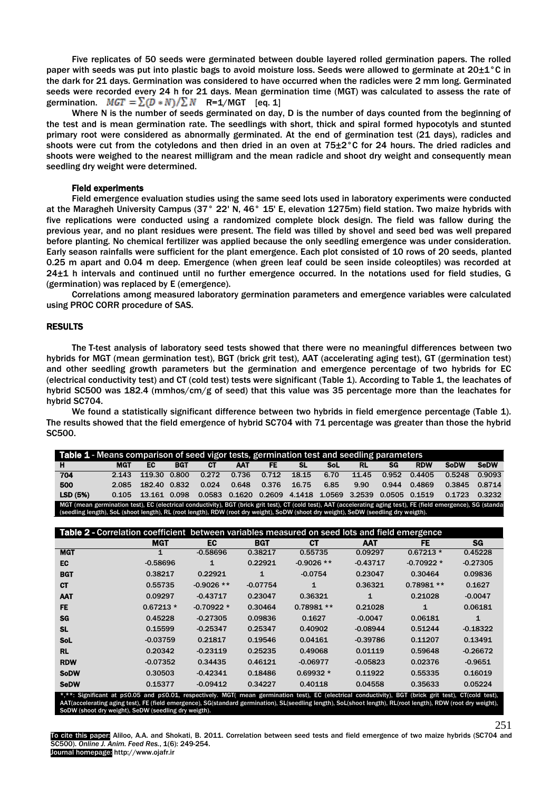Five replicates of 50 seeds were germinated between double layered rolled germination papers. The rolled paper with seeds was put into plastic bags to avoid moisture loss. Seeds were allowed to germinate at 20±1°C in the dark for 21 days. Germination was considered to have occurred when the radicles were 2 mm long. Germinated seeds were recorded every 24 h for 21 days. Mean germination time (MGT) was calculated to assess the rate of germination.  $MGT = \sum (D*N) / \sum N$  R=1/MGT [eq. 1]

Where N is the number of seeds germinated on day, D is the number of days counted from the beginning of the test and is mean germination rate. The seedlings with short, thick and spiral formed hypocotyls and stunted primary root were considered as abnormally germinated. At the end of germination test (21 days), radicles and shoots were cut from the cotyledons and then dried in an oven at 75±2°C for 24 hours. The dried radicles and shoots were weighed to the nearest milligram and the mean radicle and shoot dry weight and consequently mean seedling dry weight were determined.

#### Field experiments

Field emergence evaluation studies using the same seed lots used in laboratory experiments were conducted at the Maragheh University Campus (37° 22' N, 46° 15' E, elevation 1275m) field station. Two maize hybrids with five replications were conducted using a randomized complete block design. The field was fallow during the previous year, and no plant residues were present. The field was tilled by shovel and seed bed was well prepared before planting. No chemical fertilizer was applied because the only seedling emergence was under consideration. Early season rainfalls were sufficient for the plant emergence. Each plot consisted of 10 rows of 20 seeds, planted 0.25 m apart and 0.04 m deep. Emergence (when green leaf could be seen inside coleoptiles) was recorded at 24±1 h intervals and continued until no further emergence occurred. In the notations used for field studies, G (germination) was replaced by E (emergence).

Correlations among measured laboratory germination parameters and emergence variables were calculated using PROC CORR procedure of SAS.

## RESULTS

The T-test analysis of laboratory seed tests showed that there were no meaningful differences between two hybrids for MGT (mean germination test), BGT (brick grit test), AAT (accelerating aging test), GT (germination test) and other seedling growth parameters but the germination and emergence percentage of two hybrids for EC (electrical conductivity test) and CT (cold test) tests were significant (Table 1). According to Table 1, the leachates of hybrid SC500 was 182.4 (mmhos/cm/g of seed) that this value was 35 percentage more than the leachates for hybrid SC704.

We found a statistically significant difference between two hybrids in field emergence percentage (Table 1). The results showed that the field emergence of hybrid SC704 with 71 percentage was greater than those the hybrid SC500.

| Table 1 - Means comparison of seed vigor tests, germination test and seedling parameters                                                                          |            |              |            |       |                                                                |           |       |      |           |       |            |             |             |
|-------------------------------------------------------------------------------------------------------------------------------------------------------------------|------------|--------------|------------|-------|----------------------------------------------------------------|-----------|-------|------|-----------|-------|------------|-------------|-------------|
| н                                                                                                                                                                 | <b>MGT</b> | EC           | <b>BGT</b> | CТ    | <b>AAT</b>                                                     | <b>FE</b> | -SI.  | SoL  | <b>RL</b> | SG    | <b>RDW</b> | <b>SoDW</b> | <b>SeDW</b> |
| 704                                                                                                                                                               | 2.143      | 119.30 0.800 |            | 0.272 | 0.736                                                          | 0.712     | 18.15 | 6.70 | 11.45     | 0.952 | 0.4405     | 0.5248      | 0.9093      |
| 500                                                                                                                                                               | 2.085      | 182.40 0.832 |            | 0.024 | 0.648                                                          | 0.376     | 16.75 | 6.85 | 9.90      | 0.944 | 0.4869     | 0.3845      | 0.8714      |
| LSD (5%)                                                                                                                                                          | 0.105      | 13.161 0.098 |            |       | 0.0583  0.1620  0.2609  4.1418  1.0569  3.2539  0.0505  0.1519 |           |       |      |           |       |            | 0.1723      | 0.3232      |
| MGT (mean germination test), EC (electrical conductivity), BGT (brick grit test), CT (cold test), AAT (accelerating aging test), FE (field emergence), SG (standa |            |              |            |       |                                                                |           |       |      |           |       |            |             |             |
| (seedling length), SoL (shoot length), RL (root length), RDW (root dry weight), SoDW (shoot dry weight), SeDW (seedling dry weigth).                              |            |              |            |       |                                                                |           |       |      |           |       |            |             |             |

| <b>Table 2 - Correlation coefficient between variables measured on seed lots and field emergence</b>                                                                                                                                                                                                                    |            |              |            |              |              |             |            |  |  |  |  |
|-------------------------------------------------------------------------------------------------------------------------------------------------------------------------------------------------------------------------------------------------------------------------------------------------------------------------|------------|--------------|------------|--------------|--------------|-------------|------------|--|--|--|--|
|                                                                                                                                                                                                                                                                                                                         | <b>MGT</b> | EC           | BGT        | СT           | <b>AAT</b>   | <b>FE</b>   | SG         |  |  |  |  |
| <b>MGT</b>                                                                                                                                                                                                                                                                                                              |            | $-0.58696$   | 0.38217    | 0.55735      | 0.09297      | $0.67213*$  | 0.45228    |  |  |  |  |
| EC                                                                                                                                                                                                                                                                                                                      | $-0.58696$ | $\mathbf{1}$ | 0.22921    | $-0.9026$ ** | $-0.43717$   | $-0.70922*$ | $-0.27305$ |  |  |  |  |
| <b>BGT</b>                                                                                                                                                                                                                                                                                                              | 0.38217    | 0.22921      | 1          | $-0.0754$    | 0.23047      | 0.30464     | 0.09836    |  |  |  |  |
| <b>CT</b>                                                                                                                                                                                                                                                                                                               | 0.55735    | $-0.9026$ ** | $-0.07754$ | 1            | 0.36321      | $0.78981**$ | 0.1627     |  |  |  |  |
| <b>AAT</b>                                                                                                                                                                                                                                                                                                              | 0.09297    | $-0.43717$   | 0.23047    | 0.36321      | $\mathbf{1}$ | 0.21028     | $-0.0047$  |  |  |  |  |
| <b>FE</b>                                                                                                                                                                                                                                                                                                               | $0.67213*$ | $-0.70922*$  | 0.30464    | $0.78981**$  | 0.21028      |             | 0.06181    |  |  |  |  |
| <b>SG</b>                                                                                                                                                                                                                                                                                                               | 0.45228    | $-0.27305$   | 0.09836    | 0.1627       | $-0.0047$    | 0.06181     | 1          |  |  |  |  |
| <b>SL</b>                                                                                                                                                                                                                                                                                                               | 0.15599    | $-0.25347$   | 0.25347    | 0.40902      | $-0.08944$   | 0.51244     | $-0.18322$ |  |  |  |  |
| SoL                                                                                                                                                                                                                                                                                                                     | $-0.03759$ | 0.21817      | 0.19546    | 0.04161      | $-0.39786$   | 0.11207     | 0.13491    |  |  |  |  |
| <b>RL</b>                                                                                                                                                                                                                                                                                                               | 0.20342    | $-0.23119$   | 0.25235    | 0.49068      | 0.01119      | 0.59648     | $-0.26672$ |  |  |  |  |
| <b>RDW</b>                                                                                                                                                                                                                                                                                                              | $-0.07352$ | 0.34435      | 0.46121    | $-0.06977$   | $-0.05823$   | 0.02376     | $-0.9651$  |  |  |  |  |
| <b>SoDW</b>                                                                                                                                                                                                                                                                                                             | 0.30503    | $-0.42341$   | 0.18486    | $0.69932*$   | 0.11922      | 0.55335     | 0.16019    |  |  |  |  |
| <b>SeDW</b>                                                                                                                                                                                                                                                                                                             | 0.15377    | $-0.09412$   | 0.34227    | 0.40118      | 0.04558      | 0.35633     | 0.05224    |  |  |  |  |
| *.**: Significant at p<0.05 and p<0.01, respectively. MGT( mean germination test), EC (electrical conductivity), BGT (brick grit test), CT(cold test),<br>AAT(accelerating aging test), FE (field emergence), SG(standard germination), SL(seedling length), SoL(shoot length), RL(root length), RDW (root dry weight), |            |              |            |              |              |             |            |  |  |  |  |

SoDW (shoot dry weight), SeDW (seedling dry weigth).

251

To cite this paper: Aliloo, A.A. and Shokati, B. 2011. Correlation between seed tests and field emergence of two maize hybrids (SC704 and SC500). *Online J. Anim. Feed Res.*, 1(6): 249-254. Journal homepage: http://www.ojafr.ir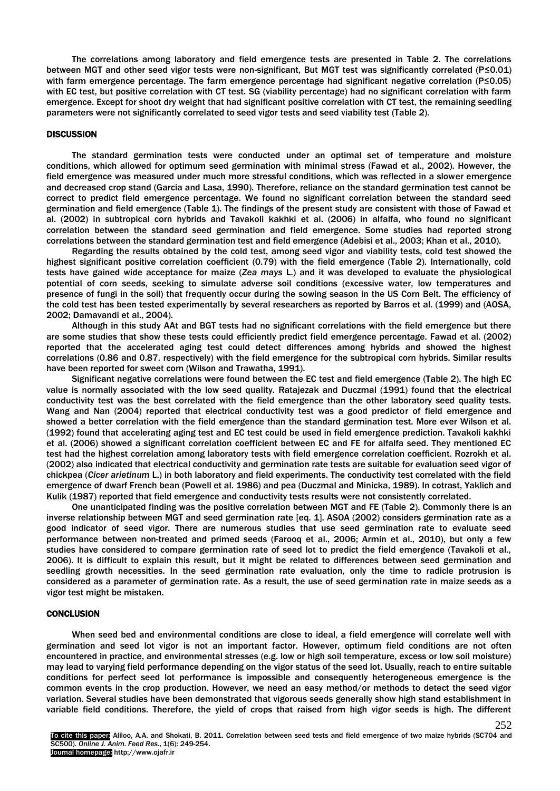The correlations among laboratory and field emergence tests are presented in Table 2. The correlations between MGT and other seed vigor tests were non-significant, But MGT test was significantly correlated (P≤0.01) with farm emergence percentage. The farm emergence percentage had significant negative correlation (P≤0.05) with EC test, but positive correlation with CT test. SG (viability percentage) had no significant correlation with farm emergence. Except for shoot dry weight that had significant positive correlation with CT test, the remaining seedling parameters were not significantly correlated to seed vigor tests and seed viability test (Table 2).

#### **DISCUSSION**

The standard germination tests were conducted under an optimal set of temperature and moisture conditions, which allowed for optimum seed germination with minimal stress (Fawad et al., 2002). However, the field emergence was measured under much more stressful conditions, which was reflected in a slower emergence and decreased crop stand (Garcia and Lasa, 1990). Therefore, reliance on the standard germination test cannot be correct to predict field emergence percentage. We found no significant correlation between the standard seed germination and field emergence (Table 1). The findings of the present study are consistent with those of Fawad et al. (2002) in subtropical corn hybrids and Tavakoli kakhki et al. (2006) in alfalfa, who found no significant correlation between the standard seed germination and field emergence. Some studies had reported strong correlations between the standard germination test and field emergence (Adebisi et al., 2003; Khan et al., 2010).

Regarding the results obtained by the cold test, among seed vigor and viability tests, cold test showed the highest significant positive correlation coefficient (0.79) with the field emergence (Table 2). Internationally, cold tests have gained wide acceptance for maize (*Zea mays* L.) and it was developed to evaluate the physiological potential of corn seeds, seeking to simulate adverse soil conditions (excessive water, low temperatures and presence of fungi in the soil) that frequently occur during the sowing season in the US Corn Belt. The efficiency of the cold test has been tested experimentally by several researchers as reported by Barros et al. (1999) and (AOSA, 2002; Damavandi et al., 2004).

Although in this study AAt and BGT tests had no significant correlations with the field emergence but there are some studies that show these tests could efficiently predict field emergence percentage. Fawad et al. (2002) reported that the accelerated aging test could detect differences among hybrids and showed the highest correlations (0.86 and 0.87, respectively) with the field emergence for the subtropical corn hybrids. Similar results have been reported for sweet corn (Wilson and Trawatha, 1991).

Significant negative correlations were found between the EC test and field emergence (Table 2). The high EC value is normally associated with the low seed quality. Ratajezak and Duczmal (1991) found that the electrical conductivity test was the best correlated with the field emergence than the other laboratory seed quality tests. Wang and Nan (2004) reported that electrical conductivity test was a good predictor of field emergence and showed a better correlation with the field emergence than the standard germination test. More ever Wilson et al. (1992) found that accelerating aging test and EC test could be used in field emergence prediction. Tavakoli kakhki et al. (2006) showed a significant correlation coefficient between EC and FE for alfalfa seed. They mentioned EC test had the highest correlation among laboratory tests with field emergence correlation coefficient. Rozrokh et al. (2002) also indicated that electrical conductivity and germination rate tests are suitable for evaluation seed vigor of chickpea (*Cicer arietinum* L.) in both laboratory and field experiments. The conductivity test correlated with the field emergence of dwarf French bean (Powell et al. 1986) and pea (Duczmal and Minicka, 1989). In cotrast, Yaklich and Kulik (1987) reported that field emergence and conductivity tests results were not consistently correlated.

One unanticipated finding was the positive correlation between MGT and FE (Table 2). Commonly there is an inverse relationship between MGT and seed germination rate [eq. 1]. ASOA (2002) considers germination rate as a good indicator of seed vigor. There are numerous studies that use seed germination rate to evaluate seed performance between non-treated and primed seeds (Farooq et al., 2006; Armin et al., 2010), but only a few studies have considered to compare germination rate of seed lot to predict the field emergence (Tavakoli et al., 2006). It is difficult to explain this result, but it might be related to differences between seed germination and seedling growth necessities. In the seed germination rate evaluation, only the time to radicle protrusion is considered as a parameter of germination rate. As a result, the use of seed germination rate in maize seeds as a vigor test might be mistaken.

#### **CONCLUSION**

When seed bed and environmental conditions are close to ideal, a field emergence will correlate well with germination and seed lot vigor is not an important factor. However, optimum field conditions are not often encountered in practice, and environmental stresses (e.g. low or high soil temperature, excess or low soil moisture) may lead to varying field performance depending on the vigor status of the seed lot. Usually, reach to entire suitable conditions for perfect seed lot performance is impossible and consequently heterogeneous emergence is the common events in the crop production. However, we need an easy method/or methods to detect the seed vigor variation. Several studies have been demonstrated that vigorous seeds generally show high stand establishment in variable field conditions. Therefore, the yield of crops that raised from high vigor seeds is high. The different

252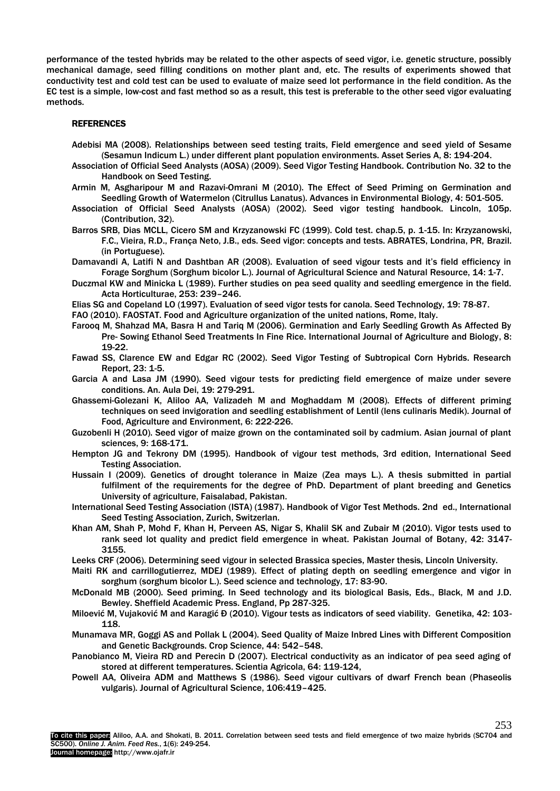performance of the tested hybrids may be related to the other aspects of seed vigor, i.e. genetic structure, possibly mechanical damage, seed filling conditions on mother plant and, etc. The results of experiments showed that conductivity test and cold test can be used to evaluate of maize seed lot performance in the field condition. As the EC test is a simple, low-cost and fast method so as a result, this test is preferable to the other seed vigor evaluating methods.

### **REFERENCES**

- Adebisi MA (2008). Relationships between seed testing traits, Field emergence and seed yield of Sesame (Sesamun Indicum L.) under different plant population environments. Asset Series A, 8: 194-204.
- Association of Official Seed Analysts (AOSA) (2009). Seed Vigor Testing Handbook. Contribution No. 32 to the Handbook on Seed Testing.
- Armin M, Asgharipour M and Razavi-Omrani M (2010). The Effect of Seed Priming on Germination and Seedling Growth of Watermelon (Citrullus Lanatus). Advances in Environmental Biology, 4: 501-505.
- Association of Official Seed Analysts (AOSA) (2002). Seed vigor testing handbook. Lincoln, 105p. (Contribution, 32).
- Barros SRB, Dias MCLL, Cicero SM and Krzyzanowski FC (1999). Cold test. chap.5, p. 1-15. In: Krzyzanowski, F.C., Vieira, R.D., França Neto, J.B., eds. Seed vigor: concepts and tests. ABRATES, Londrina, PR, Brazil. (in Portuguese).
- Damavandi A, Latifi N and Dashtban AR (2008). Evaluation of seed vigour tests and it's field efficiency in Forage Sorghum (Sorghum bicolor L.). Journal of Agricultural Science and Natural Resource, 14: 1-7.
- Duczmal KW and Minicka L (1989). Further studies on pea seed quality and seedling emergence in the field. Acta Horticulturae, 253: 239–246.
- Elias SG and Copeland LO (1997). Evaluation of seed vigor tests for canola. Seed Technology, 19: 78-87.
- FAO (2010). FAOSTAT. Food and Agriculture organization of the united nations, Rome, Italy.
- Farooq M, Shahzad MA, Basra H and Tariq M (2006). Germination and Early Seedling Growth As Affected By Pre- Sowing Ethanol Seed Treatments In Fine Rice. International Journal of Agriculture and Biology, 8: 19-22.
- Fawad SS, Clarence EW and Edgar RC (2002). Seed Vigor Testing of Subtropical Corn Hybrids. Research Report, 23: 1-5.
- Garcia A and Lasa JM (1990). Seed vigour tests for predicting field emergence of maize under severe conditions. An. Aula Dei, 19: 279-291.
- Ghassemi-Golezani K, Aliloo AA, Valizadeh M and Moghaddam M (2008). Effects of different priming techniques on seed invigoration and seedling establishment of Lentil (lens culinaris Medik). Journal of Food, Agriculture and Environment, 6: 222-226.
- Guzobenli H (2010). Seed vigor of maize grown on the contaminated soil by cadmium. Asian journal of plant sciences, 9: 168-171.
- Hempton JG and Tekrony DM (1995). Handbook of vigour test methods, 3rd edition, International Seed Testing Association.
- Hussain I (2009). Genetics of drought tolerance in Maize (Zea mays L.). A thesis submitted in partial fulfilment of the requirements for the degree of PhD. Department of plant breeding and Genetics University of agriculture, Faisalabad, Pakistan.
- International Seed Testing Association (ISTA) (1987). Handbook of Vigor Test Methods. 2nd ed., International Seed Testing Association, Zurich, Switzerlan.
- Khan AM, Shah P, Mohd F, Khan H, Perveen AS, Nigar S, Khalil SK and Zubair M (2010). Vigor tests used to rank seed lot quality and predict field emergence in wheat. [Pakistan Journal of Botany,](http://www.pakbs.org/pjbot/pjhtmls/contents.html) 42: 3147- 3155.
- Leeks CRF (2006). Determining seed vigour in selected Brassica species, Master thesis, Lincoln University.
- Maiti RK and carrillogutierrez, MDEJ (1989). Effect of plating depth on seedling emergence and vigor in sorghum (sorghum bicolor L.). Seed science and technology, 17: 83-90.
- McDonald MB (2000). Seed priming. In Seed technology and its biological Basis, Eds., Black, M and J.D. Bewley. Sheffield Academic Press. England, Pp 287-325.
- Miloević M, Vujaković M and Karagić Đ (2010). Vigour tests as indicators of seed viability. Genetika, 42: 103- 118.
- Munamava MR, Goggi AS and Pollak L (2004). Seed Quality of Maize Inbred Lines with Different Composition and Genetic Backgrounds. Crop Science, 44: 542–548.
- Panobianco M, Vieira RD and Perecin D (2007). Electrical conductivity as an indicator of pea seed aging of stored at different temperatures. Scientia Agricola, 64: 119-124,
- Powell AA, Oliveira ADM and Matthews S (1986). Seed vigour cultivars of dwarf French bean (Phaseolis vulgaris). Journal of Agricultural Science, 106:419–425.